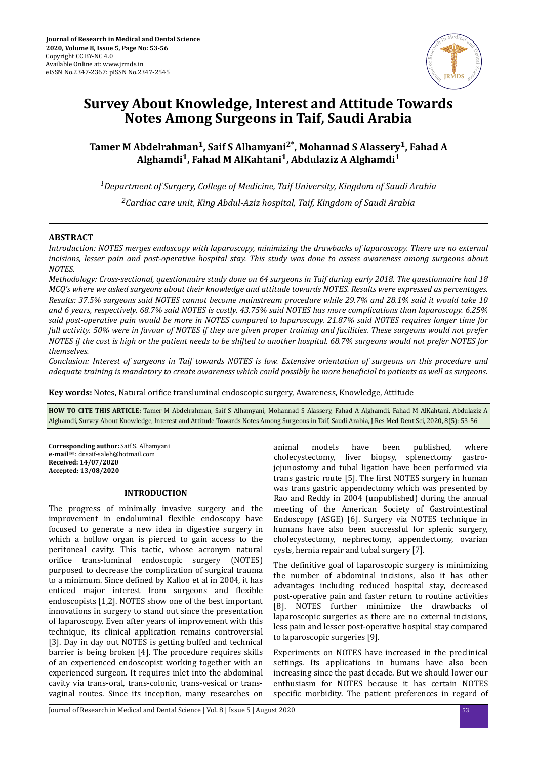

# **Survey About Knowledge, Interest and Attitude Towards Notes Among Surgeons in Taif, Saudi Arabia**

**Tamer M Abdelrahman<sup>1</sup> , Saif S Alhamyani2\*, Mohannad S Alassery<sup>1</sup> , Fahad A Alghamdi<sup>1</sup> , Fahad M AlKahtani<sup>1</sup> , Abdulaziz A Alghamdi<sup>1</sup>**

*<sup>1</sup>Department of Surgery, College of Medicine, Taif University, Kingdom of Saudi Arabia <sup>2</sup>Cardiac care unit, King Abdul-Aziz hospital, Taif, Kingdom of Saudi Arabia*

## **ABSTRACT**

*Introduction: NOTES merges endoscopy with laparoscopy, minimizing the drawbacks of laparoscopy. There are no external incisions, lesser pain and post-operative hospital stay. This study was done to assess awareness among surgeons about NOTES.* 

*Methodology: Cross-sectional, questionnaire study done on 64 surgeons in Taif during early 2018. The questionnaire had 18 MCQ's where we asked surgeons about their knowledge and attitude towards NOTES. Results were expressed as percentages. Results: 37.5% surgeons said NOTES cannot become mainstream procedure while 29.7% and 28.1% said it would take 10 and 6 years, respectively. 68.7% said NOTES is costly. 43.75% said NOTES has more complications than laparoscopy. 6.25% said post-operative pain would be more in NOTES compared to laparoscopy. 21.87% said NOTES requires longer time for full activity. 50% were in favour of NOTES if they are given proper training and facilities. These surgeons would not prefer NOTES if the cost is high or the patient needs to be shifted to another hospital. 68.7% surgeons would not prefer NOTES for themselves.*

*Conclusion: Interest of surgeons in Taif towards NOTES is low. Extensive orientation of surgeons on this procedure and adequate training is mandatory to create awareness which could possibly be more beneficial to patients as well as surgeons.* 

**Key words:** Notes, Natural orifice transluminal endoscopic surgery, Awareness, Knowledge, Attitude

**HOW TO CITE THIS ARTICLE:** Tamer M Abdelrahman, Saif S Alhamyani, Mohannad S Alassery, Fahad A Alghamdi, Fahad M AlKahtani, Abdulaziz A Alghamdi, Survey About Knowledge, Interest and Attitude Towards Notes Among Surgeons in Taif, Saudi Arabia, J Res Med Dent Sci, 2020, 8(5): 53-56

**Corresponding author:** Saif S. Alhamyani **e-mail**✉: dr.saif-saleh@hotmail.com **Received: 14/07/2020 Accepted: 13/08/2020** 

## **INTRODUCTION**

The progress of minimally invasive surgery and the improvement in endoluminal flexible endoscopy have focused to generate a new idea in digestive surgery in which a hollow organ is pierced to gain access to the peritoneal cavity. This tactic, whose acronym natural orifice trans-luminal endoscopic surgery (NOTES) purposed to decrease the complication of surgical trauma to a minimum. Since defined by Kalloo et al in 2004, it has enticed major interest from surgeons and flexible endoscopists [1,2]. NOTES show one of the best important innovations in surgery to stand out since the presentation of laparoscopy. Even after years of improvement with this technique, its clinical application remains controversial [3]. Day in day out NOTES is getting buffed and technical barrier is being broken [4]. The procedure requires skills of an experienced endoscopist working together with an experienced surgeon. It requires inlet into the abdominal cavity via trans-oral, trans-colonic, trans-vesical or transvaginal routes. Since its inception, many researches on

animal models have been published, where cholecystectomy, liver biopsy, splenectomy gastrojejunostomy and tubal ligation have been performed via trans gastric route [5]. The first NOTES surgery in human was trans gastric appendectomy which was presented by Rao and Reddy in 2004 (unpublished) during the annual meeting of the American Society of Gastrointestinal Endoscopy (ASGE) [6]. Surgery via NOTES technique in humans have also been successful for splenic surgery, cholecystectomy, nephrectomy, appendectomy, ovarian cysts, hernia repair and tubal surgery [7].

The definitive goal of laparoscopic surgery is minimizing the number of abdominal incisions, also it has other advantages including reduced hospital stay, decreased post-operative pain and faster return to routine activities [8]. NOTES further minimize the drawbacks of laparoscopic surgeries as there are no external incisions, less pain and lesser post-operative hospital stay compared to laparoscopic surgeries [9].

Experiments on NOTES have increased in the preclinical settings. Its applications in humans have also been increasing since the past decade. But we should lower our enthusiasm for NOTES because it has certain NOTES specific morbidity. The patient preferences in regard of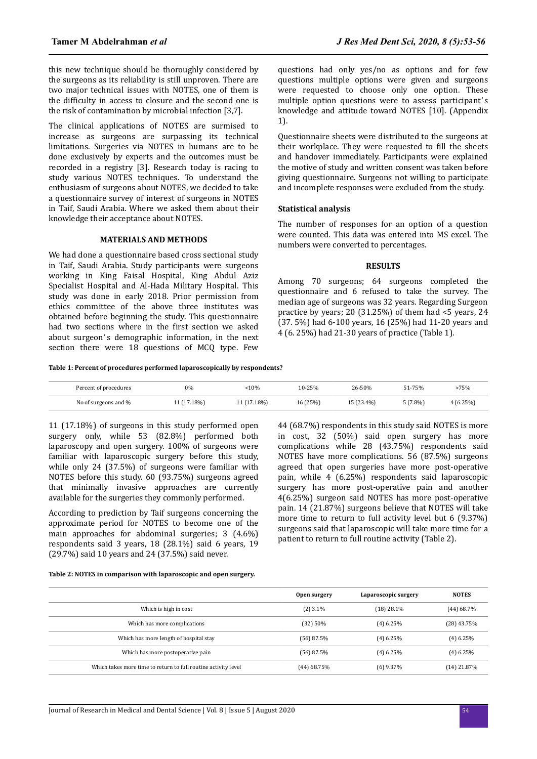this new technique should be thoroughly considered by the surgeons as its reliability is still unproven. There are two major technical issues with NOTES, one of them is the difficulty in access to closure and the second one is the risk of contamination by microbial infection [3,7].

The clinical applications of NOTES are surmised to increase as surgeons are surpassing its technical limitations. Surgeries via NOTES in humans are to be done exclusively by experts and the outcomes must be recorded in a registry [3]. Research today is racing to study various NOTES techniques. To understand the enthusiasm of surgeons about NOTES, we decided to take a questionnaire survey of interest of surgeons in NOTES in Taif, Saudi Arabia. Where we asked them about their knowledge their acceptance about NOTES.

## **MATERIALS AND METHODS**

We had done a questionnaire based cross sectional study in Taif, Saudi Arabia. Study participants were surgeons working in King Faisal Hospital, King Abdul Aziz Specialist Hospital and Al-Hada Military Hospital. This study was done in early 2018. Prior permission from ethics committee of the above three institutes was obtained before beginning the study. This questionnaire had two sections where in the first section we asked about surgeon's demographic information, in the next section there were 18 questions of MCQ type. Few questions had only yes/no as options and for few questions multiple options were given and surgeons were requested to choose only one option. These multiple option questions were to assess participant's knowledge and attitude toward NOTES [10]. (Appendix 1).

Questionnaire sheets were distributed to the surgeons at their workplace. They were requested to fill the sheets and handover immediately. Participants were explained the motive of study and written consent was taken before giving questionnaire. Surgeons not willing to participate and incomplete responses were excluded from the study.

## **Statistical analysis**

The number of responses for an option of a question were counted. This data was entered into MS excel. The numbers were converted to percentages.

## **RESULTS**

Among 70 surgeons; 64 surgeons completed the questionnaire and 6 refused to take the survey. The median age of surgeons was 32 years. Regarding Surgeon practice by years; 20 (31.25%) of them had <5 years, 24 (37. 5%) had 6-100 years, 16 (25%) had 11-20 years and 4 (6. 25%) had 21-30 years of practice (Table 1).

#### **Table 1: Percent of procedures performed laparoscopically by respondents?**

| Percent of procedures | 0%          | 10%         | 10-25%   | 26-50%     | 51-75%     | -75%     |
|-----------------------|-------------|-------------|----------|------------|------------|----------|
| No of surgeons and %  | 11 (17.18%) | 11 (17.18%) | 16 (25%) | 15 (23.4%) | $5(7.8\%)$ | 4(6.25%) |

11 (17.18%) of surgeons in this study performed open surgery only, while 53 (82.8%) performed both laparoscopy and open surgery. 100% of surgeons were familiar with laparoscopic surgery before this study, while only 24 (37.5%) of surgeons were familiar with NOTES before this study. 60 (93.75%) surgeons agreed that minimally invasive approaches are currently available for the surgeries they commonly performed.

According to prediction by Taif surgeons concerning the approximate period for NOTES to become one of the main approaches for abdominal surgeries; 3 (4.6%) respondents said 3 years, 18 (28.1%) said 6 years, 19 (29.7%) said 10 years and 24 (37.5%) said never.

44 (68.7%) respondents in this study said NOTES is more in cost, 32 (50%) said open surgery has more complications while 28 (43.75%) respondents said NOTES have more complications. 56 (87.5%) surgeons agreed that open surgeries have more post-operative pain, while 4 (6.25%) respondents said laparoscopic surgery has more post-operative pain and another 4(6.25%) surgeon said NOTES has more post-operative pain. 14 (21.87%) surgeons believe that NOTES will take more time to return to full activity level but 6 (9.37%) surgeons said that laparoscopic will take more time for a patient to return to full routine activity (Table 2).

#### **Table 2: NOTES in comparison with laparoscopic and open surgery.**

|                                                                | Open surgery  | Laparoscopic surgery | <b>NOTES</b>  |
|----------------------------------------------------------------|---------------|----------------------|---------------|
| Which is high in cost                                          | $(2)$ 3.1%    | (18) 28.1%           | (44) 68.7%    |
| Which has more complications                                   | (32) 50%      | $(4)$ 6.25%          | (28) 43.75%   |
| Which has more length of hospital stay                         | (56) 87.5%    | $(4)$ 6.25%          | $(4)$ 6.25%   |
| Which has more postoperative pain                              | $(56)$ 87.5%  | $(4)$ 6.25%          | $(4)$ 6.25%   |
| Which takes more time to return to full routine activity level | $(44)$ 68.75% | $(6)$ 9.37%          | $(14)$ 21.87% |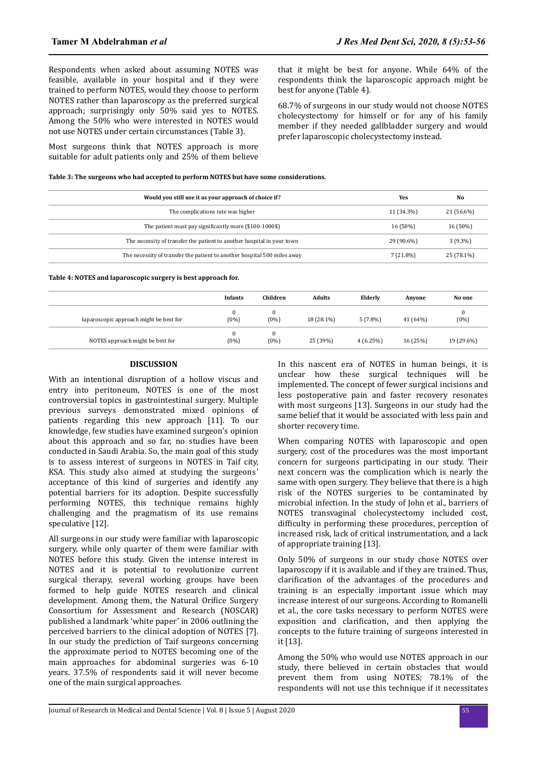Respondents when asked about assuming NOTES was feasible, available in your hospital and if they were trained to perform NOTES, would they choose to perform NOTES rather than laparoscopy as the preferred surgical approach; surprisingly only 50% said yes to NOTES. Among the 50% who were interested in NOTES would not use NOTES under certain circumstances (Table 3).

Most surgeons think that NOTES approach is more suitable for adult patients only and 25% of them believe that it might be best for anyone. While 64% of the respondents think the laparoscopic approach might be best for anyone (Table 4).

68.7% of surgeons in our study would not choose NOTES cholecystectomy for himself or for any of his family member if they needed gallbladder surgery and would prefer laparoscopic cholecystectomy instead.

| Table 3: The surgeons who had accepted to perform NOTES but have some considerations. |  |
|---------------------------------------------------------------------------------------|--|
|---------------------------------------------------------------------------------------|--|

| Would you still use it as your approach of choice if?                    | Yes         | No         |
|--------------------------------------------------------------------------|-------------|------------|
| The complications rate was higher                                        | 11 (34.3%)  | 21 (56.6%) |
| The patient must pay significantly more (\$100-1000\$)                   | 16 (50%)    | 16 (50%)   |
| The necessity of transfer the patient to another hospital in your town   | 29 (90.6%)  | $3(9.3\%)$ |
| The necessity of transfer the patient to another hospital 500 miles away | $7(21.8\%)$ | 25 (78.1%) |

**Table 4: NOTES and laparoscopic surgery is best approach for.**

|                                         | <b>Infants</b>      | Children            | <b>Adults</b> | Elderly    | Anyone   | No one     |
|-----------------------------------------|---------------------|---------------------|---------------|------------|----------|------------|
| laparoscopic approach might be best for | 0<br>$(0\%)$        | $\bf{0}$<br>$(0\%)$ | 18 (28.1%)    | $5(7.8\%)$ | 41 (64%) | $(0\%)$    |
| NOTES approach might be best for        | $\theta$<br>$(0\%)$ | $\bf{0}$<br>$(0\%)$ | 25 (39%)      | 4(6.25%)   | 16 (25%) | 19 (29.6%) |

## **DISCUSSION**

With an intentional disruption of a hollow viscus and entry into peritoneum, NOTES is one of the most controversial topics in gastrointestinal surgery. Multiple previous surveys demonstrated mixed opinions of patients regarding this new approach [11]. To our knowledge, few studies have examined surgeon's opinion about this approach and so far, no studies have been conducted in Saudi Arabia. So, the main goal of this study is to assess interest of surgeons in NOTES in Taif city, KSA. This study also aimed at studying the surgeons' acceptance of this kind of surgeries and identify any potential barriers for its adoption. Despite successfully performing NOTES, this technique remains highly challenging and the pragmatism of its use remains speculative [12].

All surgeons in our study were familiar with laparoscopic surgery, while only quarter of them were familiar with NOTES before this study. Given the intense interest in NOTES and it is potential to revolutionize current surgical therapy, several working groups have been formed to help guide NOTES research and clinical development. Among them, the Natural Orifice Surgery Consortium for Assessment and Research (NOSCAR) published a landmark 'white paper' in 2006 outlining the perceived barriers to the clinical adoption of NOTES [7]. In our study the prediction of Taif surgeons concerning the approximate period to NOTES becoming one of the main approaches for abdominal surgeries was 6-10 years. 37.5% of respondents said it will never become one of the main surgical approaches.

In this nascent era of NOTES in human beings, it is unclear how these surgical techniques will be implemented. The concept of fewer surgical incisions and less postoperative pain and faster recovery resonates with most surgeons [13]. Surgeons in our study had the same belief that it would be associated with less pain and shorter recovery time.

When comparing NOTES with laparoscopic and open surgery, cost of the procedures was the most important concern for surgeons participating in our study. Their next concern was the complication which is nearly the same with open surgery. They believe that there is a high risk of the NOTES surgeries to be contaminated by microbial infection. In the study of John et al., barriers of NOTES transvaginal cholecystectomy included cost, difficulty in performing these procedures, perception of increased risk, lack of critical instrumentation, and a lack of appropriate training [13].

Only 50% of surgeons in our study chose NOTES over laparoscopy if it is available and if they are trained. Thus, clarification of the advantages of the procedures and training is an especially important issue which may increase interest of our surgeons. According to Romanelli et al., the core tasks necessary to perform NOTES were exposition and clarification, and then applying the concepts to the future training of surgeons interested in it [13].

Among the 50% who would use NOTES approach in our study, there believed in certain obstacles that would prevent them from using NOTES; 78.1% of the respondents will not use this technique if it necessitates